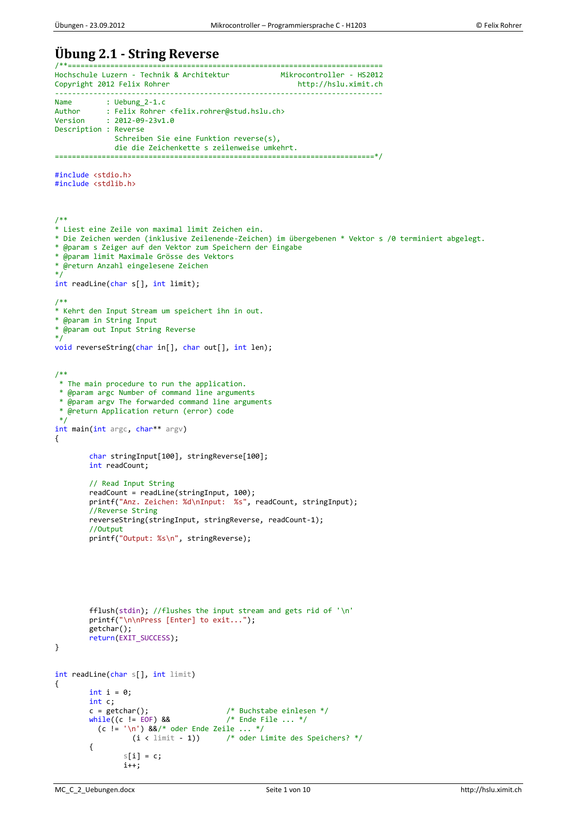# **Übung 2.1 - String Reverse**

```
/**==========================================================================
Hochschule Luzern - Technik & Architektur Mikrocontroller - HS2012
Copyright 2012 Felix Rohrer http://hslu.ximit.ch
                           -----------------------------------------------------------------------------
Name : Uebung_2-1.c<br>Author : Felix Rohrer
Author : Felix Rohrer <felix.rohrer@stud.hslu.ch><br>Version : 2012-09-23v1.0
            : 2012 - 09 - 23v1.0Description : Reverse
                Schreiben Sie eine Funktion reverse(s),
                die die Zeichenkette s zeilenweise umkehrt.
===========================================================================*/
#include <stdio.h>
#include <stdlib.h>
/**
* Liest eine Zeile von maximal limit Zeichen ein.
* Die Zeichen werden (inklusive Zeilenende-Zeichen) im übergebenen * Vektor s /0 terminiert abgelegt.
* @param s Zeiger auf den Vektor zum Speichern der Eingabe
* @param limit Maximale Grösse des Vektors
* @return Anzahl eingelesene Zeichen
*/
int readLine(char s[], int limit);
/**
* Kehrt den Input Stream um speichert ihn in out.
* @param in String Input
* @param out Input String Reverse
*/
void reverseString(char in[], char out[], int len);
/**
* The main procedure to run the application.
 * @param argc Number of command line arguments
 * @param argv The forwarded command line arguments
 * @return Application return (error) code
 */
int main(int argc, char** argv)
{
        char stringInput[100], stringReverse[100];
        int readCount;
        // Read Input String
        readCount = readLine(stringInput, 100);
        printf("Anz. Zeichen: %d\nInput: %s", readCount, stringInput);
        //Reverse String
        reverseString(stringInput, stringReverse, readCount-1);
        //Output
        printf("Output: %s\n", stringReverse);
        fflush(stdin); //flushes the input stream and gets rid of '\n'
        printf("\n\nPress [Enter] to exit...");
        getchar();
        return(EXIT_SUCCESS);
}
int readLine(char s[], int limit)
{
        int i = 0;
        int c;
        c = getchar(); / Muchstabe einlesen */<br>while((c != EOF) && / # Ende File ... */
        while((c != EOF) &(c != '\n') 88/* oder Ende Zeile ... */<br>(i < limit - 1)) /* oder L
                                         \frac{1}{2} oder Limite des Speichers? */
        {
                 s[i] = c;i++;
```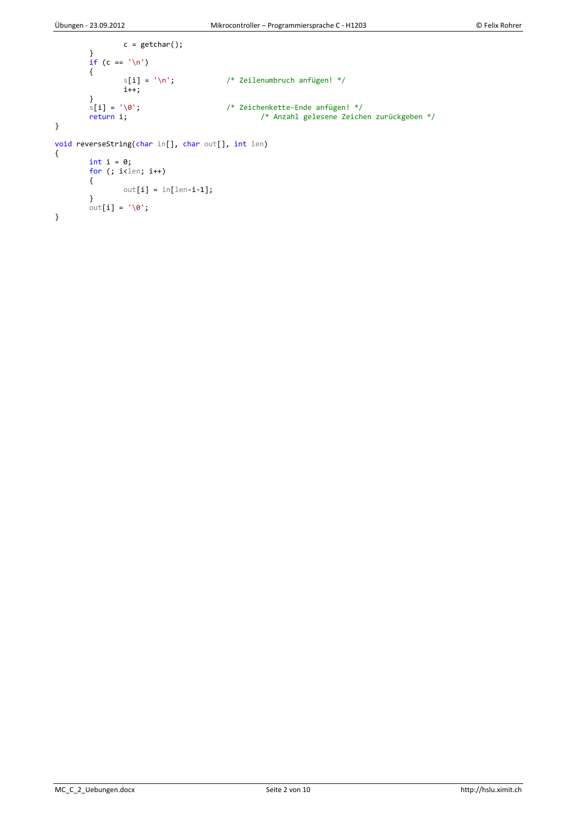}

MC\_C\_2\_Uebungen.docx Seite 2 von 10 http://hslu.ximit.ch

```
c = getchar();
         }
         if (c == '\n')
        {
                 s[i] = ' \n\rangle^n; /* Zeilenumbruch anfügen! */
                 i+1;
        }<br>s[i] = '\0';<br>return i;
                                           \frac{1}{3} Zeichenkette-Ende anfügen! */
                                                    /* Anzahl gelesene Zeichen zurückgeben */
}
void reverseString(char in[], char out[], int len)
{
         int i = 0;
         for (; i<len; i++)
        {
               out[i] = in[len-i-1];
        }
        out[i] = ' \0';
```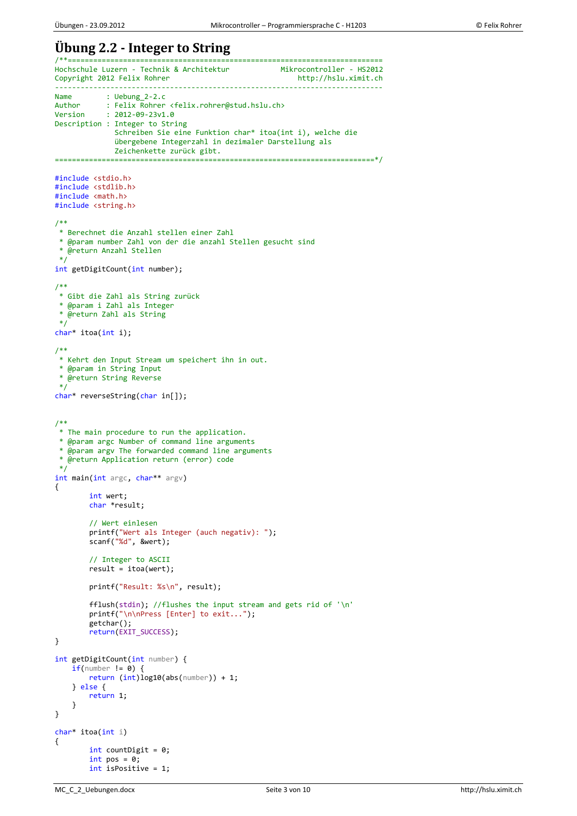## **Übung 2.2 - Integer to String**

/\*\*========================================================================== Hochschule Luzern - Technik & Architektur Mikrocontroller - HS2012<br>Copyright 2012 Felix Rohrer http://hslu.ximit.ch Copyright 2012 Felix Rohrer ----------------------------------------------------------------------------- Name : Uebung\_2-2.c<br>Author : Felix Rohrer Author : Felix Rohrer <felix.rohrer@stud.hslu.ch><br>Version : 2012-09-23v1.0  $: 2012 - 09 - 23v1.0$ Description : Integer to String Schreiben Sie eine Funktion char\* itoa(int i), welche die übergebene Integerzahl in dezimaler Darstellung als Zeichenkette zurück gibt. ===========================================================================\*/ #include <stdio.h> #include <stdlib.h> #include <math.h> #include <string.h> /\*\* \* Berechnet die Anzahl stellen einer Zahl \* @param number Zahl von der die anzahl Stellen gesucht sind \* @return Anzahl Stellen \*/ int getDigitCount(int number); /\*\* \* Gibt die Zahl als String zurück \* @param i Zahl als Integer \* @return Zahl als String \*/ char\* itoa(int i); /\*\* \* Kehrt den Input Stream um speichert ihn in out. \* @param in String Input \* @return String Reverse \*/ char\* reverseString(char in[]); /\*\* \* The main procedure to run the application. \* @param argc Number of command line arguments \* @param argv The forwarded command line arguments \* @return Application return (error) code \*/ int main(int argc, char\*\* argv) { int wert; char \*result; // Wert einlesen printf("Wert als Integer (auch negativ): "); scanf("%d", &wert); // Integer to ASCII  $result = itoa(wert);$ printf("Result: %s\n", result); fflush(stdin); //flushes the input stream and gets rid of '\n' printf("\n\nPress [Enter] to exit..."); getchar(); return(EXIT\_SUCCESS); } int getDigitCount(int number) {  $if(number != 0)$  { return (int)log10(abs(number)) + 1; } else { return 1; } } char\* itoa(int i) { int countDigit = 0; int pos =  $0$ ; int isPositive = 1;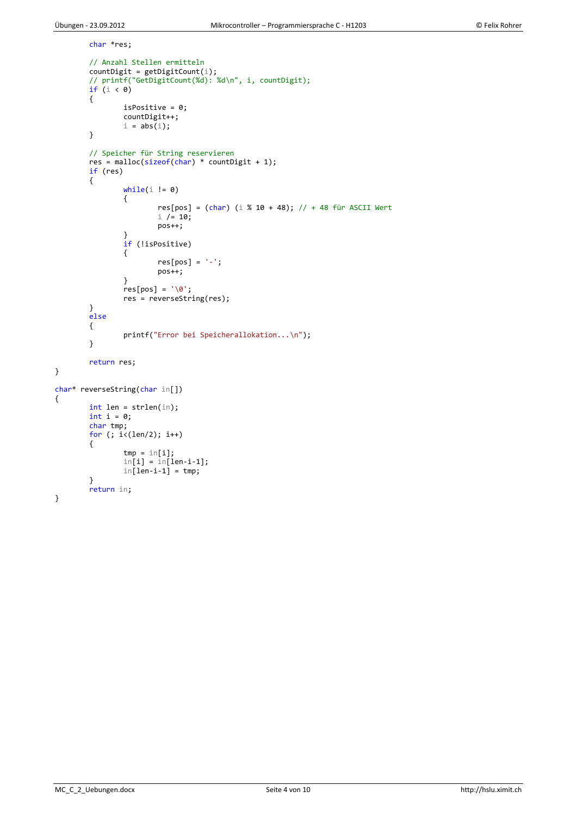}

{

}

```
char *res;
        // Anzahl Stellen ermitteln
        countDigit = getDigitCount(i);// printf("GetDigitCount(%d): %d\n", i, countDigit);
        if (i < 0)
        {
                isPositive = 0;
                countDigit++;
                i = abs(i);}
        // Speicher für String reservieren
        res = malloc(sizeof(char) * countDigit + 1);
        if (res)
        {
                while(i != 0){
                        res[pos] = (char) (i % 10 + 48); // + 48 für ASCII Werti / = 10;pos++;
                }
                if (!isPositive) 
                {
                        res[pos] = '-';
                        pos++;
                }
                res[pos] = ' \0';res = reverseString(res);
        }
        else
        {
                printf("Error bei Speicherallokation...\n");
        }
        return res;
char* reverseString(char in[])
        int len = strlen(in);
        int i = 0;
        char tmp;
        for (; i<(len/2); i++)
        {
                tmp = in[i];in[i] = in[len-i-1];in[ien-i-1] = tmp;}
        return in;
```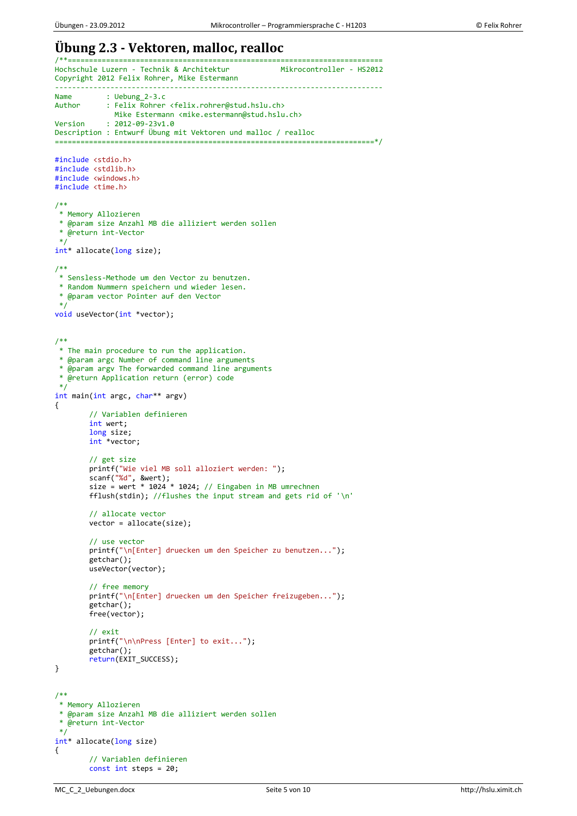### **Übung 2.3 - Vektoren, malloc, realloc**

```
/**==========================================================================
Hochschule Luzern - Technik & Architektur
Copyright 2012 Felix Rohrer, Mike Estermann
-----------------------------------------------------------------------------
Name : Uebung_2-3.c<br>Author : Felix Rohrer
            : Felix Rohrer <felix.rohrer@stud.hslu.ch>
               Mike Estermann <mike.estermann@stud.hslu.ch>
Version : 2012-09-23v1.0
Description : Entwurf Übung mit Vektoren und malloc / realloc
===========================================================================*/
#include <stdio.h>
#include <stdlib.h>
#include <windows.h>
#include <time.h>
/**
* Memory Allozieren
 * @param size Anzahl MB die alliziert werden sollen
 * @return int-Vector
*/
int* allocate(long size);
/**
 * Sensless-Methode um den Vector zu benutzen.
 * Random Nummern speichern und wieder lesen.
 * @param vector Pointer auf den Vector
 */
void useVector(int *vector);
/**
* The main procedure to run the application.
 * @param argc Number of command line arguments
 * @param argv The forwarded command line arguments
 * @return Application return (error) code
 */
int main(int argc, char** argv)
{
        // Variablen definieren
        int wert;
         long size;
         int *vector;
        // get size
        printf("Wie viel MB soll alloziert werden: ");
        scanf("%d", &wert);
        size = wert * 1024 * 1024; // Eingaben in MB umrechnen
        fflush(stdin); //flushes the input stream and gets rid of '\n'
        // allocate vector
        vector = allocate(size);
        // use vector
        printf("\n[Enter] druecken um den Speicher zu benutzen...");
        getchar();
        useVector(vector);
        // free memory
        printf("\n[Enter] druecken um den Speicher freizugeben...");
        getchar();
        free(vector);
        // exit
        printf("\n\nPress [Enter] to exit...");
        getchar();
        return(EXIT_SUCCESS);
}
/**
 * Memory Allozieren
 * @param size Anzahl MB die alliziert werden sollen
 * @return int-Vector
 */
int* allocate(long size)
{
        // Variablen definieren
        const int steps = 20;
```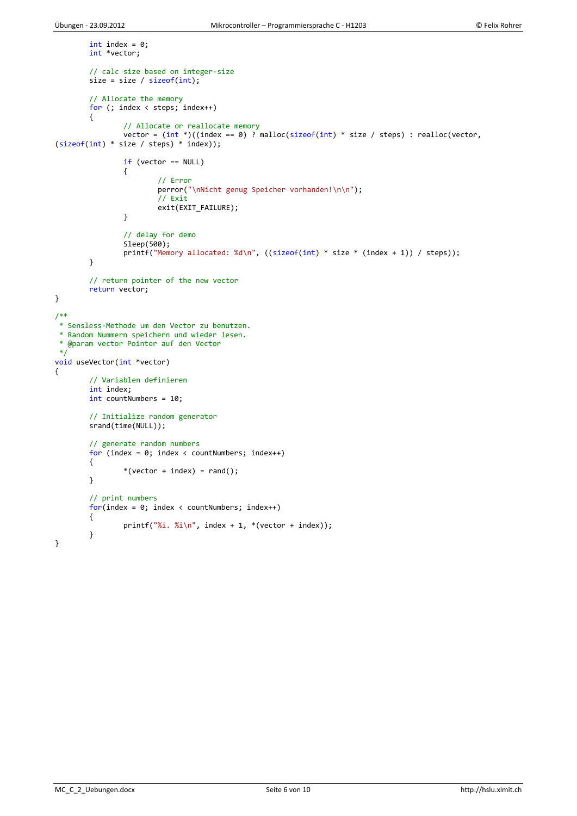```
int index = 0;
        int *vector;
        // calc size based on integer-size
        size = size / sizeof(int);// Allocate the memory
        for (; index < steps; index++)
        {
                 // Allocate or reallocate memory
                 vector = (\text{int}^*)((\text{index} == 0) ? malloc(\text{size})fint) * size / steps) : realloc(vector,
(sizeof(int) * size / steps) * index));
                if (vector == NULL) 
                {
                         // Error
                         perror("\nNicht genug Speicher vorhanden!\n\n");
                         // Exit
                         exit(EXIT_FAILURE);
                }
                // delay for demo
                Sleep(500);
                printf("Memory allocated: %d\n", ((sizeof(int) * size * (index + 1)) / steps));
        }
        // return pointer of the new vector
        return vector;
}
/**
* Sensless-Methode um den Vector zu benutzen.
 * Random Nummern speichern und wieder lesen.
 * @param vector Pointer auf den Vector
 */
void useVector(int *vector)
{
        // Variablen definieren
        int index;
        int countNumbers = 10;
        // Initialize random generator
        srand(time(NULL));
        // generate random numbers
        for (index = 0; index < countNumbers; index++)
        {
                *(vector + index) = rand();}
        // print numbers
        for(intex = 0; index < countNumbers; index++){
                printf("%i. %i\n", index + 1, *(vector + index));
        }
}
```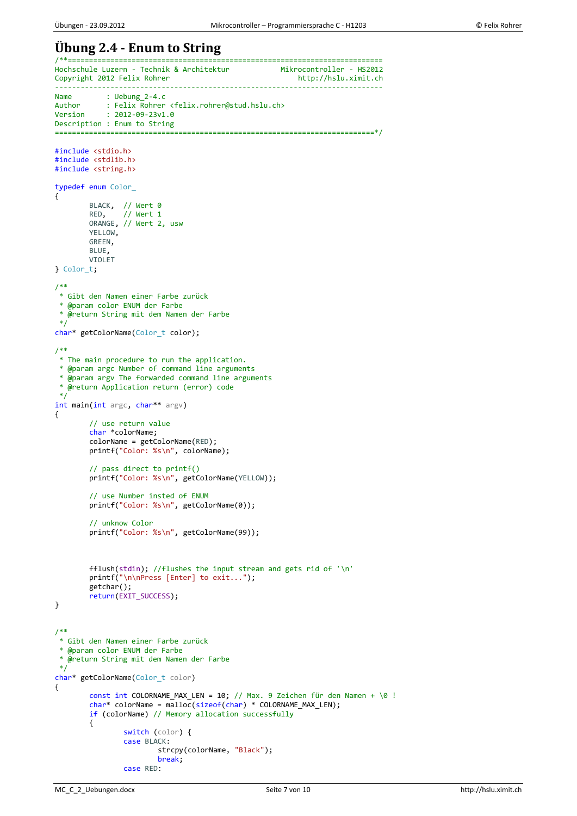### **Übung 2.4 - Enum to String** /\*\*==========================================================================

Hochschule Luzern - Technik & Architektur Mikrocontroller - HS2012<br>Copyright 2012 Felix Rohrer http://hslu.ximit.ch Copyright 2012 Felix Rohrer ----------------------------------------------------------------------------- Name : Uebung\_2-4.c<br>Author : Felix Rohrer Author : Felix Rohrer <felix.rohrer@stud.hslu.ch><br>Version : 2012-09-23v1.0  $: 2012 - 09 - 23v1.0$ Description : Enum to String ===========================================================================\*/ #include <stdio.h> #include <stdlib.h> #include <string.h> typedef enum Color\_ { BLACK, // Wert 0 RED, // Wert 1 ORANGE, // Wert 2, usw YELLOW, GREEN, BLUE, VIOLET } Color\_t; /\*\* \* Gibt den Namen einer Farbe zurück \* @param color ENUM der Farbe \* @return String mit dem Namen der Farbe \*/ char\* getColorName(Color\_t color); /\*\* \* The main procedure to run the application. \* @param argc Number of command line arguments \* @param argv The forwarded command line arguments \* @return Application return (error) code  $\overline{\overline{}}$ int main(int argc, char\*\* argv) { // use return value char \*colorName; colorName = getColorName(RED); printf("Color: %s\n", colorName); // pass direct to printf() printf("Color: %s\n", getColorName(YELLOW)); // use Number insted of ENUM printf("Color: %s\n", getColorName(0)); // unknow Color printf("Color: %s\n", getColorName(99)); fflush(stdin); //flushes the input stream and gets rid of '\n' printf("\n\nPress [Enter] to exit..."); getchar(); return(EXIT\_SUCCESS); } /\*\* \* Gibt den Namen einer Farbe zurück \* @param color ENUM der Farbe \* @return String mit dem Namen der Farbe \*/ char\* getColorName(Color t color) { const int COLORNAME\_MAX\_LEN = 10; // Max. 9 Zeichen für den Namen +  $\emptyset$  !  $char*$  colorName =  $\overline{malloc}(\text{sizeof}(\text{char}) * \text{COLORNAME}\_MAX\_LEN);$ if (colorName) // Memory allocation successfully { switch (color) { case BLACK: strcpy(colorName, "Black"); break; case RED: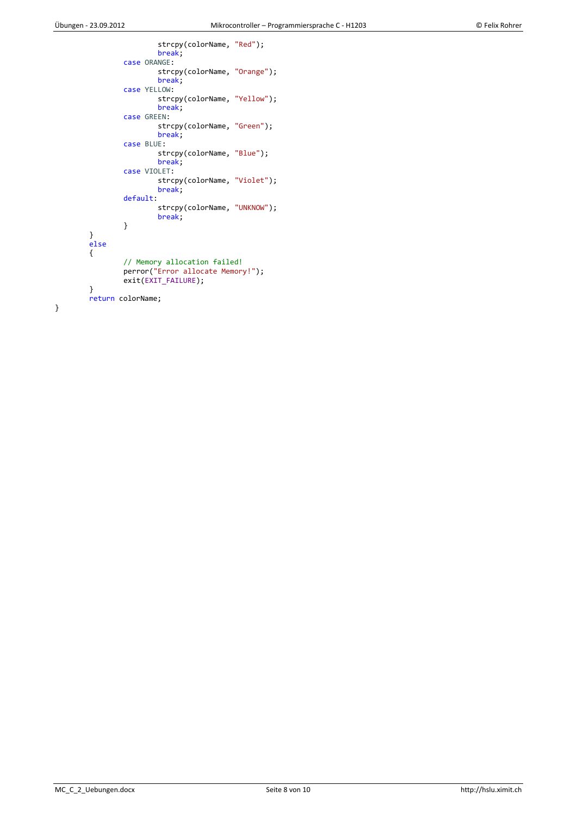}

```
strcpy(colorName, "Red");
                break;
        case ORANGE:
                strcpy(colorName, "Orange");
                break;
        case YELLOW:
                strcpy(colorName, "Yellow");
                break;
        case GREEN:
                strcpy(colorName, "Green");
                break;
        case BLUE:
                strcpy(colorName, "Blue");
                break;
        case VIOLET:
                strcpy(colorName, "Violet");
                break;
        default:
                strcpy(colorName, "UNKNOW");
                break;
        }
}
else
{
        // Memory allocation failed!
        perror("Error allocate Memory!");
        exit(EXIT_FAILURE);
}
return colorName;
```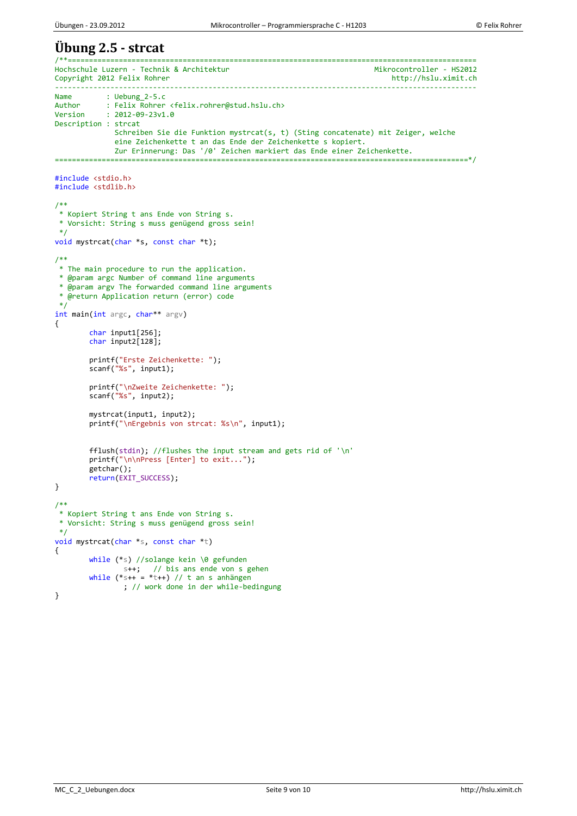#### **Übung 2.5 - strcat** /\*\*================================================================================================ Hochschule Luzern - Technik & Architektur<br>Copyright 2012 Felix Rohrer Mikrocontroller - HS2012 Copyright 2012 Felix Rohrer --------------------------------------------------------------------------------------------------- Name : Uebung\_2-5.c<br>Author : Felix Rohrer Author : Felix Rohrer <felix.rohrer@stud.hslu.ch><br>Version : 2012-09-23v1.0  $: 2012 - 09 - 23v1.0$ Description : strcat Schreiben Sie die Funktion mystrcat(s, t) (Sting concatenate) mit Zeiger, welche eine Zeichenkette t an das Ende der Zeichenkette s kopiert. Zur Erinnerung: Das '/0' Zeichen markiert das Ende einer Zeichenkette. =================================================================================================\*/ #include <stdio.h> #include <stdlib.h> /\*\* \* Kopiert String t ans Ende von String s. \* Vorsicht: String s muss genügend gross sein! \*/ void mystrcat(char \*s, const char \*t); /\*\* \* The main procedure to run the application. \* @param argc Number of command line arguments \* @param argv The forwarded command line arguments \* @return Application return (error) code \*/ int main(int argc, char\*\* argv) { char input1[256]; char input2[128]; printf("Erste Zeichenkette: "); scanf("%s", input1); printf("\nZweite Zeichenkette: "); scanf("%s", input2); mystrcat(input1, input2); printf("\nErgebnis von strcat: %s\n", input1); fflush(stdin); //flushes the input stream and gets rid of '\n' printf("\n\nPress [Enter] to exit..."); getchar(); return(EXIT\_SUCCESS); } /\*\* \* Kopiert String t ans Ende von String s. \* Vorsicht: String s muss genügend gross sein! \*/ void mystrcat(char \*s, const char \*t) { while (\*s) //solange kein \0 gefunden s++; // bis ans ende von s gehen while  $(*s++ = *t++)$  // t an s anhängen ; // work done in der while-bedingung }